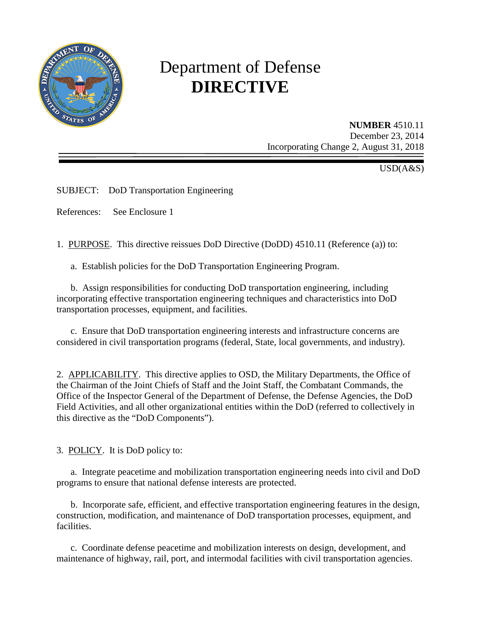

# Department of Defense **DIRECTIVE**

**NUMBER** 4510.11 December 23, 2014 Incorporating Change 2, August 31, 2018

 $\overline{USD}(A\&S)$ 

SUBJECT: DoD Transportation Engineering

References: See Enclosure 1

1. PURPOSE. This directive reissues DoD Directive (DoDD) 4510.11 (Reference (a)) to:

a. Establish policies for the DoD Transportation Engineering Program.

 b. Assign responsibilities for conducting DoD transportation engineering, including incorporating effective transportation engineering techniques and characteristics into DoD transportation processes, equipment, and facilities.

c. Ensure that DoD transportation engineering interests and infrastructure concerns are considered in civil transportation programs (federal, State, local governments, and industry).

2. APPLICABILITY. This directive applies to OSD, the Military Departments, the Office of the Chairman of the Joint Chiefs of Staff and the Joint Staff, the Combatant Commands, the Office of the Inspector General of the Department of Defense, the Defense Agencies, the DoD Field Activities, and all other organizational entities within the DoD (referred to collectively in this directive as the "DoD Components").

3. POLICY. It is DoD policy to:

a. Integrate peacetime and mobilization transportation engineering needs into civil and DoD programs to ensure that national defense interests are protected.

 b. Incorporate safe, efficient, and effective transportation engineering features in the design, construction, modification, and maintenance of DoD transportation processes, equipment, and facilities.

 c. Coordinate defense peacetime and mobilization interests on design, development, and maintenance of highway, rail, port, and intermodal facilities with civil transportation agencies.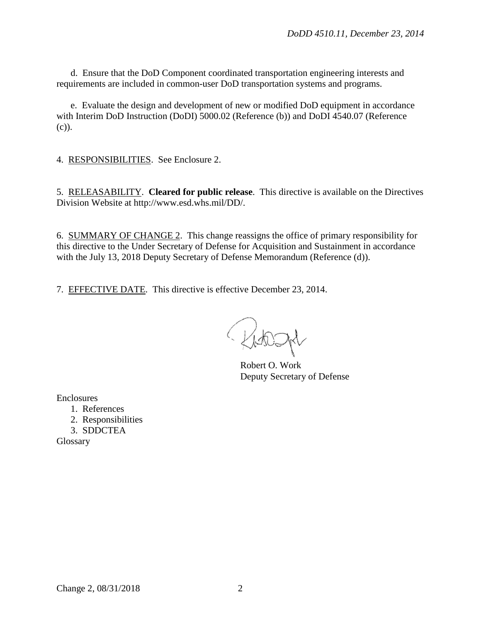d. Ensure that the DoD Component coordinated transportation engineering interests and requirements are included in common-user DoD transportation systems and programs.

e. Evaluate the design and development of new or modified DoD equipment in accordance with Interim DoD Instruction (DoDI) 5000.02 (Reference (b)) and DoDI 4540.07 (Reference (c)).

4. RESPONSIBILITIES. See Enclosure 2.

5. RELEASABILITY. **Cleared for public release**. This directive is available on the Directives Division Website at http://www.esd.whs.mil/DD/.

6. SUMMARY OF CHANGE 2. This change reassigns the office of primary responsibility for this directive to the Under Secretary of Defense for Acquisition and Sustainment in accordance with the July 13, 2018 Deputy Secretary of Defense Memorandum (Reference (d)).

7. EFFECTIVE DATE. This directive is effective December 23, 2014.

Robert O. Work Deputy Secretary of Defense

Enclosures

- 1. References
- 2. Responsibilities
- 3. SDDCTEA

Glossary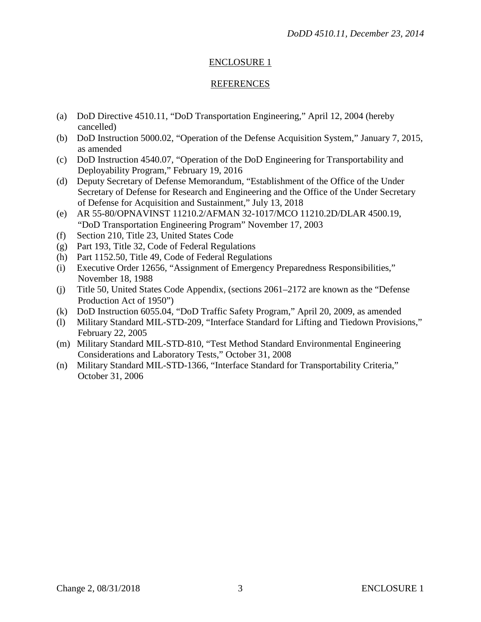# ENCLOSURE 1

### REFERENCES

- (a) DoD Directive 4510.11, "DoD Transportation Engineering," April 12, 2004 (hereby cancelled)
- (b) DoD Instruction 5000.02, "Operation of the Defense Acquisition System," January 7, 2015, as amended
- (c) DoD Instruction 4540.07, "Operation of the DoD Engineering for Transportability and Deployability Program," February 19, 2016
- (d) Deputy Secretary of Defense Memorandum, "Establishment of the Office of the Under Secretary of Defense for Research and Engineering and the Office of the Under Secretary of Defense for Acquisition and Sustainment," July 13, 2018
- (e) AR 55-80/OPNAVINST 11210.2/AFMAN 32-1017/MCO 11210.2D/DLAR 4500.19, "DoD Transportation Engineering Program" November 17, 2003
- (f) Section 210, Title 23, United States Code
- (g) Part 193, Title 32, Code of Federal Regulations
- (h) Part 1152.50, Title 49, Code of Federal Regulations
- (i) Executive Order 12656, "Assignment of Emergency Preparedness Responsibilities," November 18, 1988
- (j) Title 50, United States Code Appendix, (sections 2061–2172 are known as the "Defense Production Act of 1950")
- (k) DoD Instruction 6055.04, "DoD Traffic Safety Program," April 20, 2009, as amended
- (l) Military Standard MIL-STD-209, "Interface Standard for Lifting and Tiedown Provisions," February 22, 2005
- (m) Military Standard MIL-STD-810, "Test Method Standard Environmental Engineering Considerations and Laboratory Tests," October 31, 2008
- (n) Military Standard MIL-STD-1366, "Interface Standard for Transportability Criteria," October 31, 2006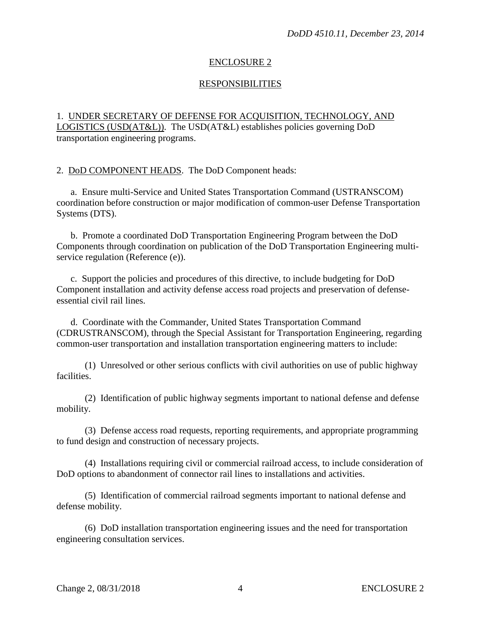## ENCLOSURE 2

## RESPONSIBILITIES

## 1. UNDER SECRETARY OF DEFENSE FOR ACQUISITION, TECHNOLOGY, AND LOGISTICS (USD(AT&L)). The USD(AT&L) establishes policies governing DoD transportation engineering programs.

2. DoD COMPONENT HEADS. The DoD Component heads:

a. Ensure multi-Service and United States Transportation Command (USTRANSCOM) coordination before construction or major modification of common-user Defense Transportation Systems (DTS).

b. Promote a coordinated DoD Transportation Engineering Program between the DoD Components through coordination on publication of the DoD Transportation Engineering multiservice regulation (Reference (e)).

c. Support the policies and procedures of this directive, to include budgeting for DoD Component installation and activity defense access road projects and preservation of defenseessential civil rail lines.

d. Coordinate with the Commander, United States Transportation Command (CDRUSTRANSCOM), through the Special Assistant for Transportation Engineering, regarding common-user transportation and installation transportation engineering matters to include:

(1) Unresolved or other serious conflicts with civil authorities on use of public highway facilities.

(2) Identification of public highway segments important to national defense and defense mobility.

(3) Defense access road requests, reporting requirements, and appropriate programming to fund design and construction of necessary projects.

(4) Installations requiring civil or commercial railroad access, to include consideration of DoD options to abandonment of connector rail lines to installations and activities.

(5) Identification of commercial railroad segments important to national defense and defense mobility.

(6) DoD installation transportation engineering issues and the need for transportation engineering consultation services.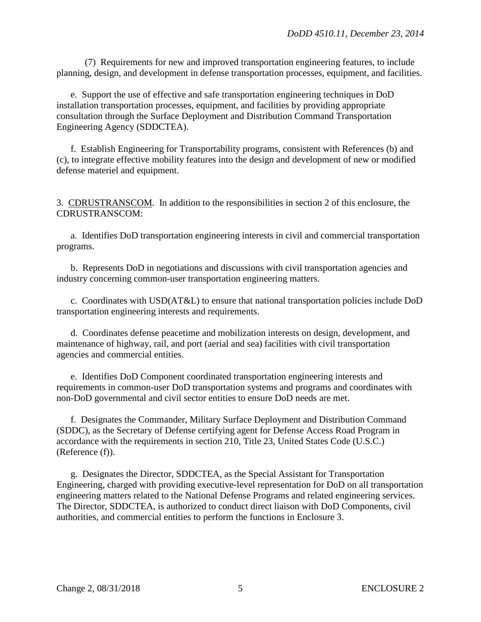(7) Requirements for new and improved transportation engineering features, to include planning, design, and development in defense transportation processes, equipment, and facilities.

e. Support the use of effective and safe transportation engineering techniques in DoD installation transportation processes, equipment, and facilities by providing appropriate consultation through the Surface Deployment and Distribution Command Transportation Engineering Agency (SDDCTEA).

f. Establish Engineering for Transportability programs, consistent with References (b) and (c), to integrate effective mobility features into the design and development of new or modified defense materiel and equipment.

3. CDRUSTRANSCOM. In addition to the responsibilities in section 2 of this enclosure, the CDRUSTRANSCOM:

a. Identifies DoD transportation engineering interests in civil and commercial transportation programs.

b. Represents DoD in negotiations and discussions with civil transportation agencies and industry concerning common-user transportation engineering matters.

c. Coordinates with USD(AT&L) to ensure that national transportation policies include DoD transportation engineering interests and requirements.

d. Coordinates defense peacetime and mobilization interests on design, development, and maintenance of highway, rail, and port (aerial and sea) facilities with civil transportation agencies and commercial entities.

e. Identifies DoD Component coordinated transportation engineering interests and requirements in common-user DoD transportation systems and programs and coordinates with non-DoD governmental and civil sector entities to ensure DoD needs are met.

f. Designates the Commander, Military Surface Deployment and Distribution Command (SDDC), as the Secretary of Defense certifying agent for Defense Access Road Program in accordance with the requirements in section 210, Title 23, United States Code (U.S.C.) (Reference (f)).

g. Designates the Director, SDDCTEA, as the Special Assistant for Transportation Engineering, charged with providing executive-level representation for DoD on all transportation engineering matters related to the National Defense Programs and related engineering services. The Director, SDDCTEA, is authorized to conduct direct liaison with DoD Components, civil authorities, and commercial entities to perform the functions in Enclosure 3.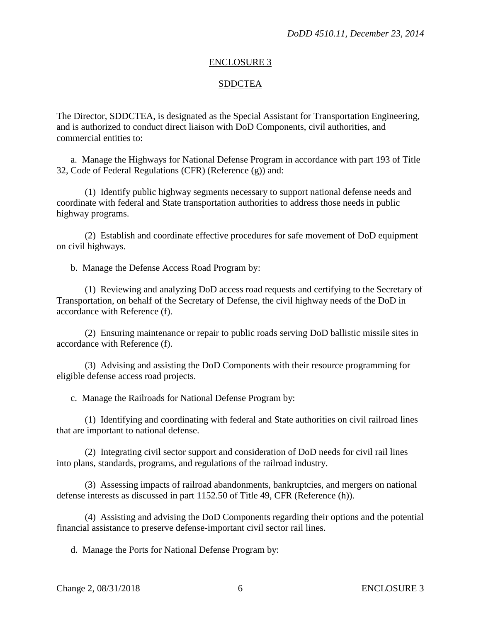#### ENCLOSURE 3

#### **SDDCTEA**

The Director, SDDCTEA, is designated as the Special Assistant for Transportation Engineering, and is authorized to conduct direct liaison with DoD Components, civil authorities, and commercial entities to:

a. Manage the Highways for National Defense Program in accordance with part 193 of Title 32, Code of Federal Regulations (CFR) (Reference (g)) and:

(1) Identify public highway segments necessary to support national defense needs and coordinate with federal and State transportation authorities to address those needs in public highway programs.

(2) Establish and coordinate effective procedures for safe movement of DoD equipment on civil highways.

b. Manage the Defense Access Road Program by:

(1) Reviewing and analyzing DoD access road requests and certifying to the Secretary of Transportation, on behalf of the Secretary of Defense, the civil highway needs of the DoD in accordance with Reference (f).

(2) Ensuring maintenance or repair to public roads serving DoD ballistic missile sites in accordance with Reference (f).

(3) Advising and assisting the DoD Components with their resource programming for eligible defense access road projects.

c. Manage the Railroads for National Defense Program by:

(1) Identifying and coordinating with federal and State authorities on civil railroad lines that are important to national defense.

(2) Integrating civil sector support and consideration of DoD needs for civil rail lines into plans, standards, programs, and regulations of the railroad industry.

(3) Assessing impacts of railroad abandonments, bankruptcies, and mergers on national defense interests as discussed in part 1152.50 of Title 49, CFR (Reference (h)).

(4) Assisting and advising the DoD Components regarding their options and the potential financial assistance to preserve defense-important civil sector rail lines.

d. Manage the Ports for National Defense Program by: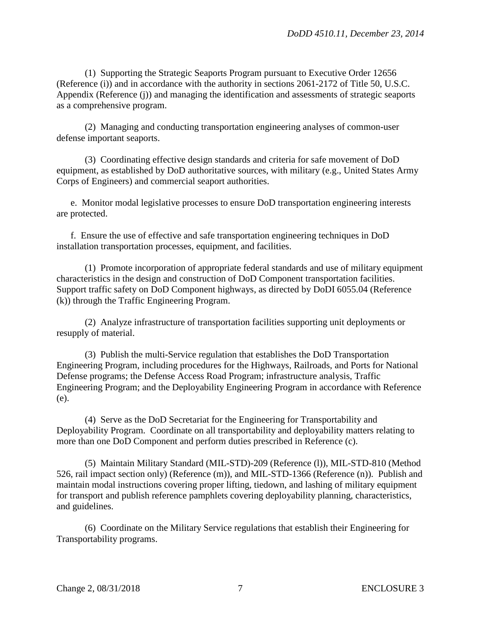(1) Supporting the Strategic Seaports Program pursuant to Executive Order 12656 (Reference (i)) and in accordance with the authority in sections 2061-2172 of Title 50, U.S.C. Appendix (Reference (j)) and managing the identification and assessments of strategic seaports as a comprehensive program.

(2) Managing and conducting transportation engineering analyses of common-user defense important seaports.

(3) Coordinating effective design standards and criteria for safe movement of DoD equipment, as established by DoD authoritative sources, with military (e.g., United States Army Corps of Engineers) and commercial seaport authorities.

e. Monitor modal legislative processes to ensure DoD transportation engineering interests are protected.

f. Ensure the use of effective and safe transportation engineering techniques in DoD installation transportation processes, equipment, and facilities.

(1) Promote incorporation of appropriate federal standards and use of military equipment characteristics in the design and construction of DoD Component transportation facilities. Support traffic safety on DoD Component highways, as directed by DoDI 6055.04 (Reference (k)) through the Traffic Engineering Program.

(2) Analyze infrastructure of transportation facilities supporting unit deployments or resupply of material.

(3) Publish the multi-Service regulation that establishes the DoD Transportation Engineering Program, including procedures for the Highways, Railroads, and Ports for National Defense programs; the Defense Access Road Program; infrastructure analysis, Traffic Engineering Program; and the Deployability Engineering Program in accordance with Reference (e).

(4) Serve as the DoD Secretariat for the Engineering for Transportability and Deployability Program. Coordinate on all transportability and deployability matters relating to more than one DoD Component and perform duties prescribed in Reference (c).

(5) Maintain Military Standard (MIL-STD)-209 (Reference (l)), MIL-STD-810 (Method 526, rail impact section only) (Reference (m)), and MIL-STD-1366 (Reference (n)). Publish and maintain modal instructions covering proper lifting, tiedown, and lashing of military equipment for transport and publish reference pamphlets covering deployability planning, characteristics, and guidelines.

(6) Coordinate on the Military Service regulations that establish their Engineering for Transportability programs.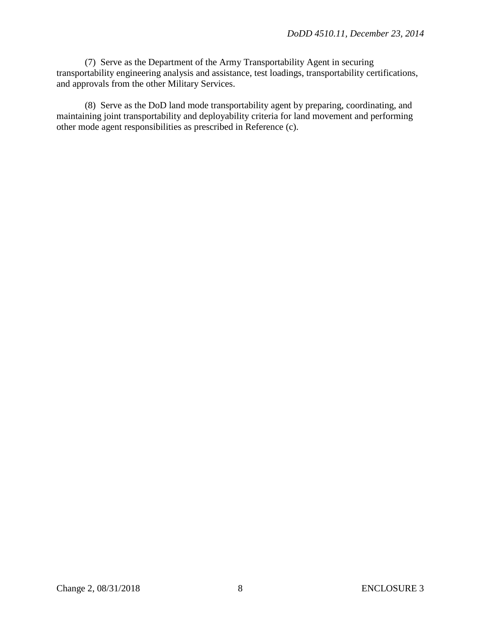(7) Serve as the Department of the Army Transportability Agent in securing transportability engineering analysis and assistance, test loadings, transportability certifications, and approvals from the other Military Services.

(8) Serve as the DoD land mode transportability agent by preparing, coordinating, and maintaining joint transportability and deployability criteria for land movement and performing other mode agent responsibilities as prescribed in Reference (c).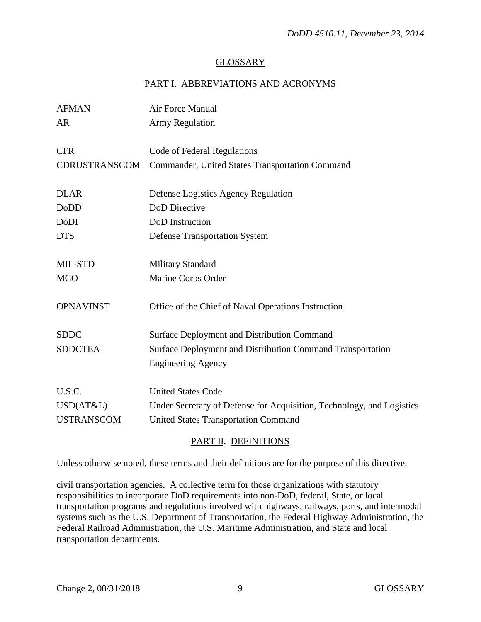## GLOSSARY

# PART I. ABBREVIATIONS AND ACRONYMS

| <b>AFMAN</b>                             | Air Force Manual                                                                                                                                  |
|------------------------------------------|---------------------------------------------------------------------------------------------------------------------------------------------------|
| <b>AR</b>                                | <b>Army Regulation</b>                                                                                                                            |
| <b>CFR</b>                               | Code of Federal Regulations                                                                                                                       |
| CDRUSTRANSCOM                            | Commander, United States Transportation Command                                                                                                   |
| <b>DLAR</b>                              | Defense Logistics Agency Regulation                                                                                                               |
| DoDD                                     | DoD Directive                                                                                                                                     |
| DoDI                                     | DoD Instruction                                                                                                                                   |
| <b>DTS</b>                               | <b>Defense Transportation System</b>                                                                                                              |
| MIL-STD                                  | <b>Military Standard</b>                                                                                                                          |
| <b>MCO</b>                               | Marine Corps Order                                                                                                                                |
| <b>OPNAVINST</b>                         | Office of the Chief of Naval Operations Instruction                                                                                               |
| <b>SDDC</b>                              | <b>Surface Deployment and Distribution Command</b>                                                                                                |
| <b>SDDCTEA</b>                           | Surface Deployment and Distribution Command Transportation<br><b>Engineering Agency</b>                                                           |
| U.S.C.<br>USD(AT&L)<br><b>USTRANSCOM</b> | <b>United States Code</b><br>Under Secretary of Defense for Acquisition, Technology, and Logistics<br><b>United States Transportation Command</b> |
|                                          |                                                                                                                                                   |

## PART II. DEFINITIONS

Unless otherwise noted, these terms and their definitions are for the purpose of this directive.

civil transportation agencies. A collective term for those organizations with statutory responsibilities to incorporate DoD requirements into non-DoD, federal, State, or local transportation programs and regulations involved with highways, railways, ports, and intermodal systems such as the U.S. Department of Transportation, the Federal Highway Administration, the Federal Railroad Administration, the U.S. Maritime Administration, and State and local transportation departments.